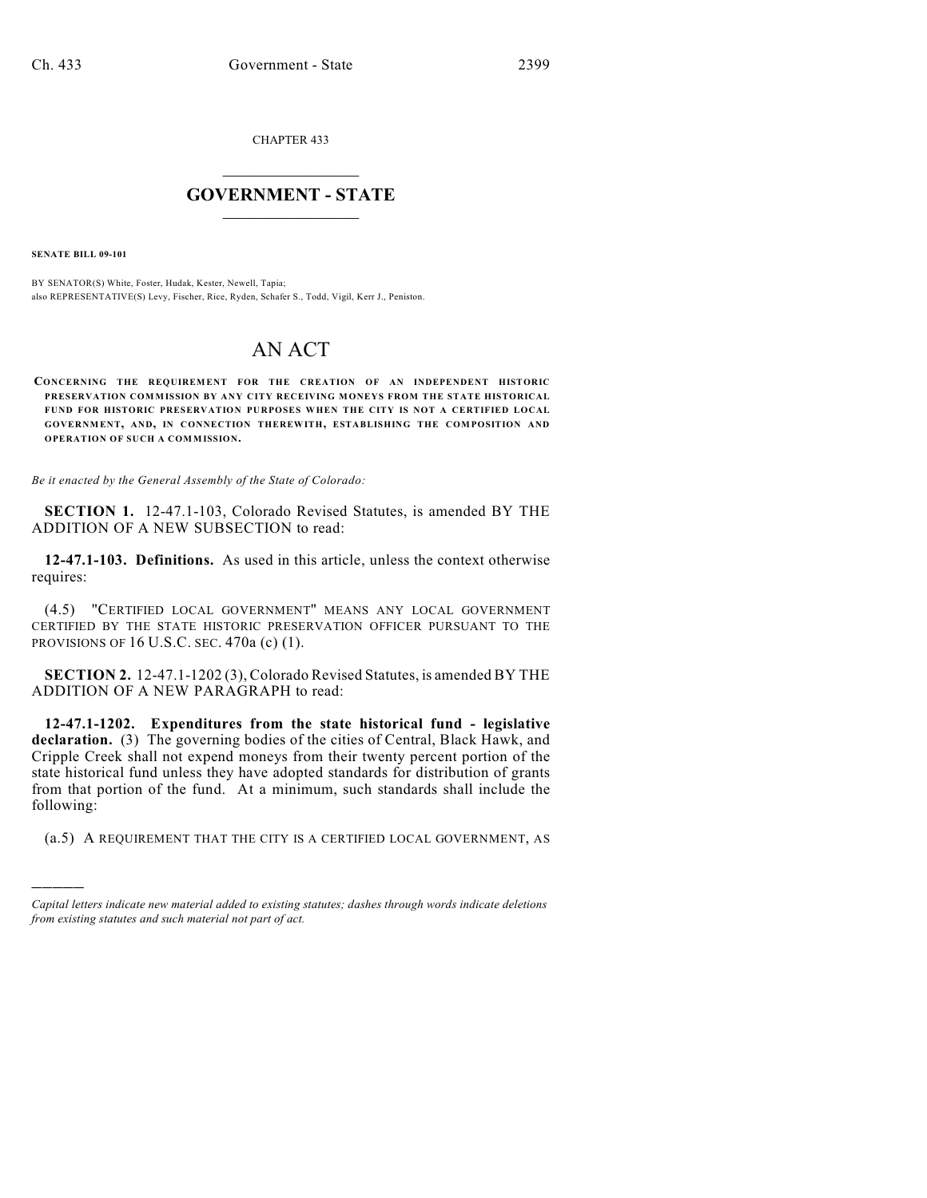CHAPTER 433

## $\overline{\phantom{a}}$  . The set of the set of the set of the set of the set of the set of the set of the set of the set of the set of the set of the set of the set of the set of the set of the set of the set of the set of the set o **GOVERNMENT - STATE**  $\_$

**SENATE BILL 09-101**

)))))

BY SENATOR(S) White, Foster, Hudak, Kester, Newell, Tapia; also REPRESENTATIVE(S) Levy, Fischer, Rice, Ryden, Schafer S., Todd, Vigil, Kerr J., Peniston.

## AN ACT

**CONCERNING THE REQUIREMENT FOR THE CREATION OF AN INDEPENDENT HISTORIC PRESERVATION COMMISSION BY ANY CITY RECEIVING MONEYS FROM THE STATE HISTORICAL FUND FOR HISTORIC PRESERVATION PURPOSES WHEN THE CITY IS NOT A CERTIFIED LOCAL GOVERNMENT, AND, IN CONNECTION THEREWITH, ESTABLISHING THE COMPOSITION AND OPERATION OF SUCH A COMMISSION.**

*Be it enacted by the General Assembly of the State of Colorado:*

**SECTION 1.** 12-47.1-103, Colorado Revised Statutes, is amended BY THE ADDITION OF A NEW SUBSECTION to read:

**12-47.1-103. Definitions.** As used in this article, unless the context otherwise requires:

(4.5) "CERTIFIED LOCAL GOVERNMENT" MEANS ANY LOCAL GOVERNMENT CERTIFIED BY THE STATE HISTORIC PRESERVATION OFFICER PURSUANT TO THE PROVISIONS OF 16 U.S.C. SEC. 470a (c) (1).

**SECTION 2.** 12-47.1-1202 (3), Colorado Revised Statutes, is amended BY THE ADDITION OF A NEW PARAGRAPH to read:

**12-47.1-1202. Expenditures from the state historical fund - legislative declaration.** (3) The governing bodies of the cities of Central, Black Hawk, and Cripple Creek shall not expend moneys from their twenty percent portion of the state historical fund unless they have adopted standards for distribution of grants from that portion of the fund. At a minimum, such standards shall include the following:

(a.5) A REQUIREMENT THAT THE CITY IS A CERTIFIED LOCAL GOVERNMENT, AS

*Capital letters indicate new material added to existing statutes; dashes through words indicate deletions from existing statutes and such material not part of act.*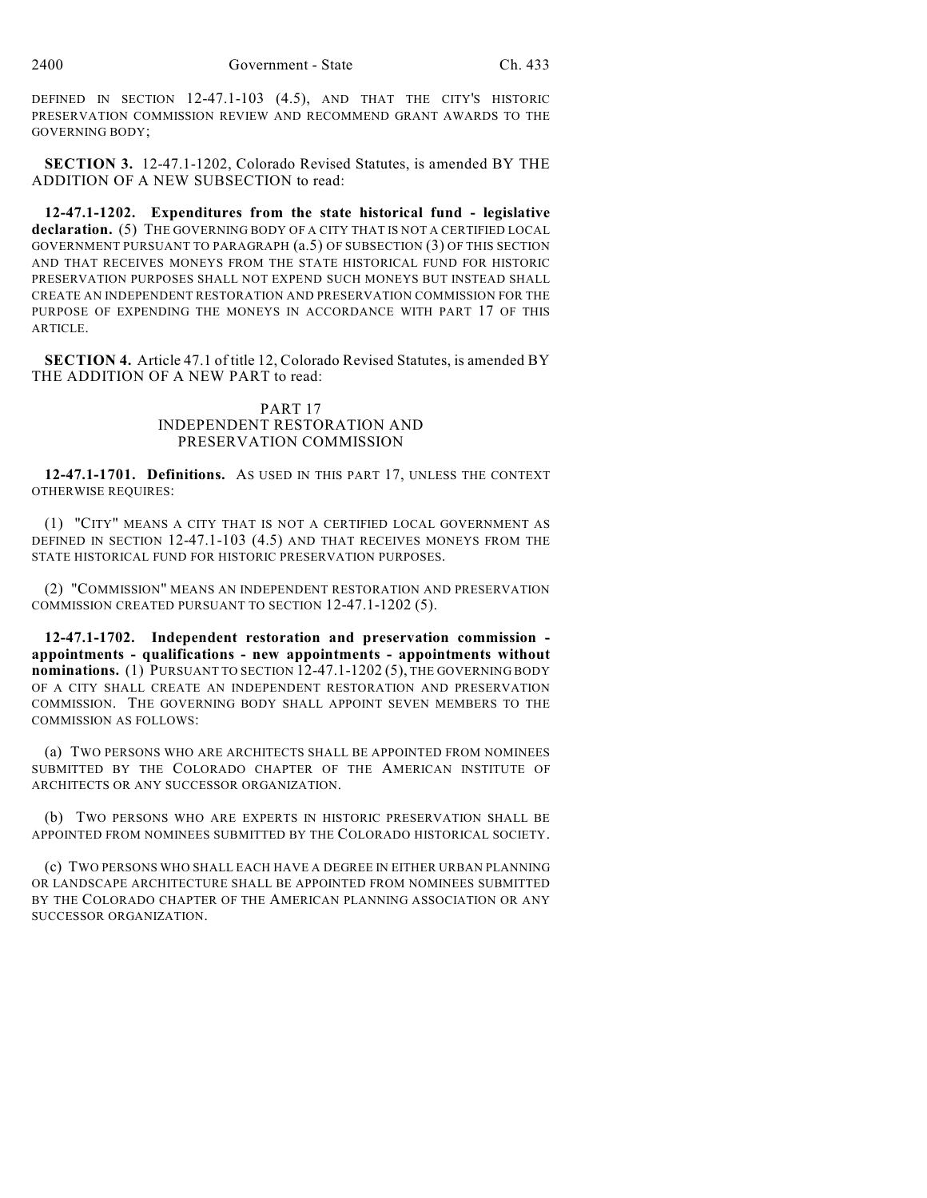DEFINED IN SECTION 12-47.1-103 (4.5), AND THAT THE CITY'S HISTORIC PRESERVATION COMMISSION REVIEW AND RECOMMEND GRANT AWARDS TO THE GOVERNING BODY;

**SECTION 3.** 12-47.1-1202, Colorado Revised Statutes, is amended BY THE ADDITION OF A NEW SUBSECTION to read:

**12-47.1-1202. Expenditures from the state historical fund - legislative declaration.** (5) THE GOVERNING BODY OF A CITY THAT IS NOT A CERTIFIED LOCAL GOVERNMENT PURSUANT TO PARAGRAPH (a.5) OF SUBSECTION (3) OF THIS SECTION AND THAT RECEIVES MONEYS FROM THE STATE HISTORICAL FUND FOR HISTORIC PRESERVATION PURPOSES SHALL NOT EXPEND SUCH MONEYS BUT INSTEAD SHALL CREATE AN INDEPENDENT RESTORATION AND PRESERVATION COMMISSION FOR THE PURPOSE OF EXPENDING THE MONEYS IN ACCORDANCE WITH PART 17 OF THIS ARTICLE.

**SECTION 4.** Article 47.1 of title 12, Colorado Revised Statutes, is amended BY THE ADDITION OF A NEW PART to read:

## PART 17 INDEPENDENT RESTORATION AND PRESERVATION COMMISSION

**12-47.1-1701. Definitions.** AS USED IN THIS PART 17, UNLESS THE CONTEXT OTHERWISE REQUIRES:

(1) "CITY" MEANS A CITY THAT IS NOT A CERTIFIED LOCAL GOVERNMENT AS DEFINED IN SECTION 12-47.1-103 (4.5) AND THAT RECEIVES MONEYS FROM THE STATE HISTORICAL FUND FOR HISTORIC PRESERVATION PURPOSES.

(2) "COMMISSION" MEANS AN INDEPENDENT RESTORATION AND PRESERVATION COMMISSION CREATED PURSUANT TO SECTION 12-47.1-1202 (5).

**12-47.1-1702. Independent restoration and preservation commission appointments - qualifications - new appointments - appointments without nominations.** (1) PURSUANT TO SECTION 12-47.1-1202 (5), THE GOVERNING BODY OF A CITY SHALL CREATE AN INDEPENDENT RESTORATION AND PRESERVATION COMMISSION. THE GOVERNING BODY SHALL APPOINT SEVEN MEMBERS TO THE COMMISSION AS FOLLOWS:

(a) TWO PERSONS WHO ARE ARCHITECTS SHALL BE APPOINTED FROM NOMINEES SUBMITTED BY THE COLORADO CHAPTER OF THE AMERICAN INSTITUTE OF ARCHITECTS OR ANY SUCCESSOR ORGANIZATION.

(b) TWO PERSONS WHO ARE EXPERTS IN HISTORIC PRESERVATION SHALL BE APPOINTED FROM NOMINEES SUBMITTED BY THE COLORADO HISTORICAL SOCIETY.

(c) TWO PERSONS WHO SHALL EACH HAVE A DEGREE IN EITHER URBAN PLANNING OR LANDSCAPE ARCHITECTURE SHALL BE APPOINTED FROM NOMINEES SUBMITTED BY THE COLORADO CHAPTER OF THE AMERICAN PLANNING ASSOCIATION OR ANY SUCCESSOR ORGANIZATION.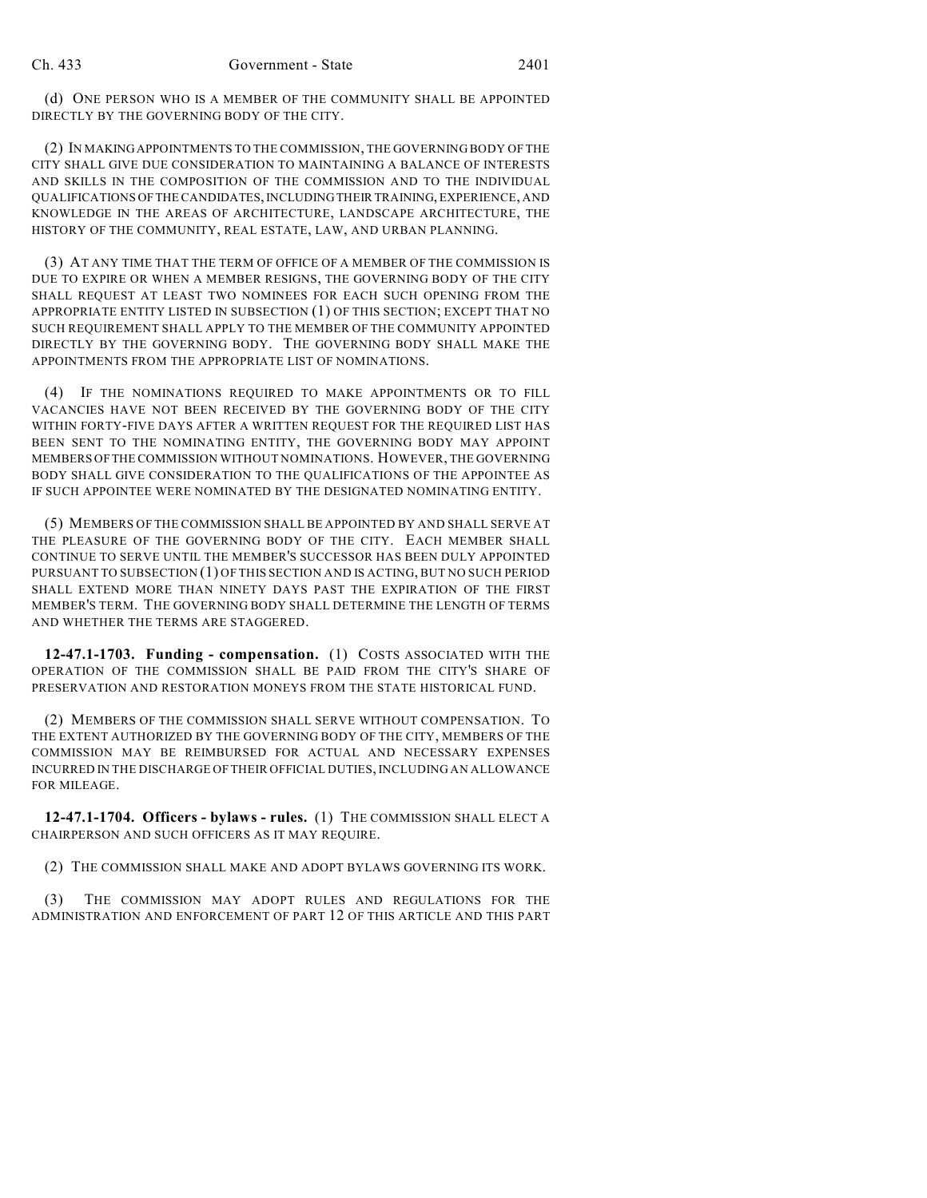(d) ONE PERSON WHO IS A MEMBER OF THE COMMUNITY SHALL BE APPOINTED DIRECTLY BY THE GOVERNING BODY OF THE CITY.

(2) IN MAKING APPOINTMENTS TO THE COMMISSION, THE GOVERNING BODY OF THE CITY SHALL GIVE DUE CONSIDERATION TO MAINTAINING A BALANCE OF INTERESTS AND SKILLS IN THE COMPOSITION OF THE COMMISSION AND TO THE INDIVIDUAL QUALIFICATIONS OF THE CANDIDATES, INCLUDING THEIR TRAINING, EXPERIENCE, AND KNOWLEDGE IN THE AREAS OF ARCHITECTURE, LANDSCAPE ARCHITECTURE, THE HISTORY OF THE COMMUNITY, REAL ESTATE, LAW, AND URBAN PLANNING.

(3) AT ANY TIME THAT THE TERM OF OFFICE OF A MEMBER OF THE COMMISSION IS DUE TO EXPIRE OR WHEN A MEMBER RESIGNS, THE GOVERNING BODY OF THE CITY SHALL REQUEST AT LEAST TWO NOMINEES FOR EACH SUCH OPENING FROM THE APPROPRIATE ENTITY LISTED IN SUBSECTION (1) OF THIS SECTION; EXCEPT THAT NO SUCH REQUIREMENT SHALL APPLY TO THE MEMBER OF THE COMMUNITY APPOINTED DIRECTLY BY THE GOVERNING BODY. THE GOVERNING BODY SHALL MAKE THE APPOINTMENTS FROM THE APPROPRIATE LIST OF NOMINATIONS.

(4) IF THE NOMINATIONS REQUIRED TO MAKE APPOINTMENTS OR TO FILL VACANCIES HAVE NOT BEEN RECEIVED BY THE GOVERNING BODY OF THE CITY WITHIN FORTY-FIVE DAYS AFTER A WRITTEN REQUEST FOR THE REQUIRED LIST HAS BEEN SENT TO THE NOMINATING ENTITY, THE GOVERNING BODY MAY APPOINT MEMBERS OF THE COMMISSION WITHOUT NOMINATIONS. HOWEVER, THE GOVERNING BODY SHALL GIVE CONSIDERATION TO THE QUALIFICATIONS OF THE APPOINTEE AS IF SUCH APPOINTEE WERE NOMINATED BY THE DESIGNATED NOMINATING ENTITY.

(5) MEMBERS OF THE COMMISSION SHALL BE APPOINTED BY AND SHALL SERVE AT THE PLEASURE OF THE GOVERNING BODY OF THE CITY. EACH MEMBER SHALL CONTINUE TO SERVE UNTIL THE MEMBER'S SUCCESSOR HAS BEEN DULY APPOINTED PURSUANT TO SUBSECTION (1) OF THIS SECTION AND IS ACTING, BUT NO SUCH PERIOD SHALL EXTEND MORE THAN NINETY DAYS PAST THE EXPIRATION OF THE FIRST MEMBER'S TERM. THE GOVERNING BODY SHALL DETERMINE THE LENGTH OF TERMS AND WHETHER THE TERMS ARE STAGGERED.

**12-47.1-1703. Funding - compensation.** (1) COSTS ASSOCIATED WITH THE OPERATION OF THE COMMISSION SHALL BE PAID FROM THE CITY'S SHARE OF PRESERVATION AND RESTORATION MONEYS FROM THE STATE HISTORICAL FUND.

(2) MEMBERS OF THE COMMISSION SHALL SERVE WITHOUT COMPENSATION. TO THE EXTENT AUTHORIZED BY THE GOVERNING BODY OF THE CITY, MEMBERS OF THE COMMISSION MAY BE REIMBURSED FOR ACTUAL AND NECESSARY EXPENSES INCURRED IN THE DISCHARGE OF THEIR OFFICIAL DUTIES, INCLUDING AN ALLOWANCE FOR MILEAGE.

**12-47.1-1704. Officers - bylaws - rules.** (1) THE COMMISSION SHALL ELECT A CHAIRPERSON AND SUCH OFFICERS AS IT MAY REQUIRE.

(2) THE COMMISSION SHALL MAKE AND ADOPT BYLAWS GOVERNING ITS WORK.

(3) THE COMMISSION MAY ADOPT RULES AND REGULATIONS FOR THE ADMINISTRATION AND ENFORCEMENT OF PART 12 OF THIS ARTICLE AND THIS PART